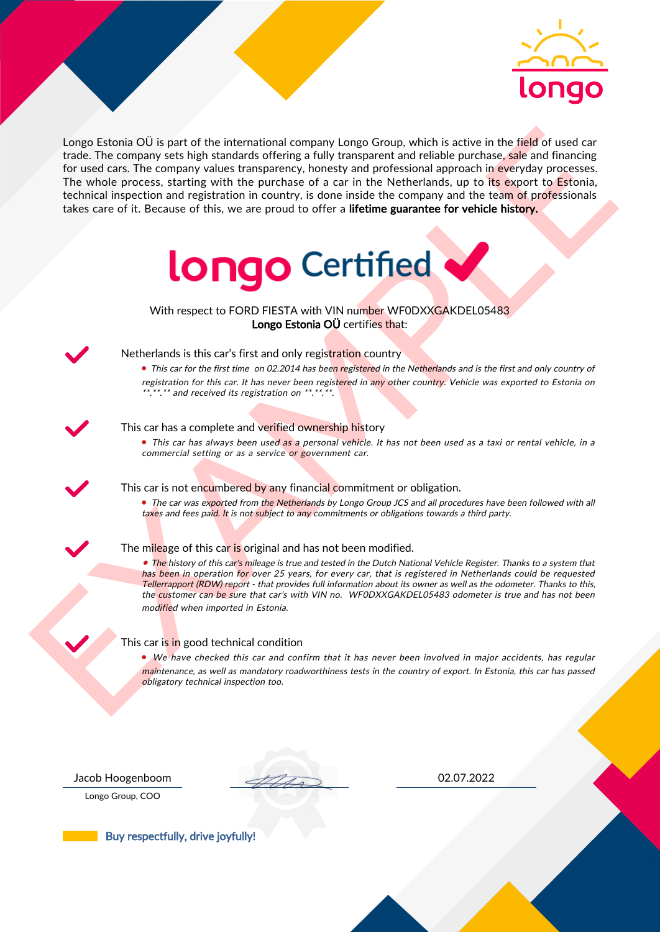

Length Entonio OI is part of the international company Length Company is the first of the field of used can<br>be the constraints with the parchase of a car in the Netherlands up to the percentage<br>of the constraints with the Longo Estonia OÜ is part of the international company Longo Group, which is active in the field of used car trade. The company sets high standards offering a fully transparent and reliable purchase, sale and financing for used cars. The company values transparency, honesty and professional approach in everyday processes. The whole process, starting with the purchase of a car in the Netherlands, up to its export to Estonia, technical inspection and registration in country, is done inside the company and the team of professionals takes care of it. Because of this, we are proud to offer a lifetime guarantee for vehicle history.



With respect to FORD FIESTA with VIN number WF0DXXGAKDEL05483 Longo Estonia OÜ certifies that:



## Netherlands is this car's first and only registration country

• This car for the first time on 02.2014 has been registered in the Netherlands and is the first and only country of registration for this car. It has never been registered in any other country. Vehicle was exported to Estonia on \*.\*\*.\*\* and received its registration on \*\*.\*\*.\*\*.

### This car has a complete and verified ownership history

• This car has always been used as a personal vehicle. It has not been used as a taxi or rental vehicle, in a commercial setting or as a service or government car.

This car is not encumbered by any financial commitment or obligation.

• The car was exported from the Netherlands by Longo Group JCS and all procedures have been followed with all taxes and fees paid. It is not subject to any commitments or obligations towards a third party.

#### The mileage of this car is original and has not been modified.

• The history of this car's mileage is true and tested in the Dutch National Vehicle Register. Thanks to a system that has been in operation for over 25 years, for every car, that is registered in Netherlands could be requested Tellerrapport (RDW) report - that provides full information about its owner as well as the odometer. Thanks to this, the customer can be sure that car's with VIN no. WF0DXXGAKDEL05483 odometer is true and has not been modified when imported in Estonia.

### This car is in good technical condition

• We have checked this car and confirm that it has never been involved in major accidents, has regular maintenance, as well as mandatory roadworthiness tests in the country of export. In Estonia, this car has passed obligatory technical inspection too.

Longo Group, COO

Jacob Hoogenboom 02.07.2022

Buy respectfully, drive joyfully!